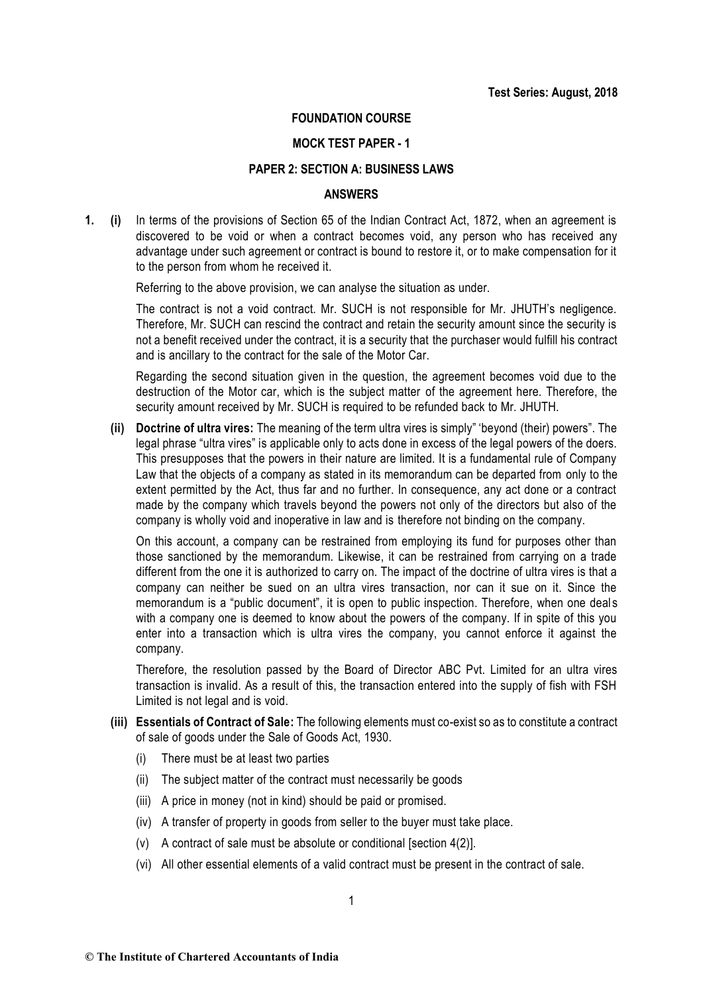#### **FOUNDATION COURSE**

#### **MOCK TEST PAPER - 1**

### **PAPER 2: SECTION A: BUSINESS LAWS**

## **ANSWERS**

**1. (i)** In terms of the provisions of Section 65 of the Indian Contract Act, 1872, when an agreement is discovered to be void or when a contract becomes void, any person who has received any advantage under such agreement or contract is bound to restore it, or to make compensation for it to the person from whom he received it.

Referring to the above provision, we can analyse the situation as under.

The contract is not a void contract. Mr. SUCH is not responsible for Mr. JHUTH's negligence. Therefore, Mr. SUCH can rescind the contract and retain the security amount since the security is not a benefit received under the contract, it is a security that the purchaser would fulfill his contract and is ancillary to the contract for the sale of the Motor Car.

Regarding the second situation given in the question, the agreement becomes void due to the destruction of the Motor car, which is the subject matter of the agreement here. Therefore, the security amount received by Mr. SUCH is required to be refunded back to Mr. JHUTH.

**(ii) Doctrine of ultra vires:** The meaning of the term ultra vires is simply" 'beyond (their) powers". The legal phrase "ultra vires" is applicable only to acts done in excess of the legal powers of the doers. This presupposes that the powers in their nature are limited. It is a fundamental rule of Company Law that the objects of a company as stated in its memorandum can be departed from only to the extent permitted by the Act, thus far and no further. In consequence, any act done or a contract made by the company which travels beyond the powers not only of the directors but also of the company is wholly void and inoperative in law and is therefore not binding on the company.

On this account, a company can be restrained from employing its fund for purposes other than those sanctioned by the memorandum. Likewise, it can be restrained from carrying on a trade different from the one it is authorized to carry on. The impact of the doctrine of ultra vires is that a company can neither be sued on an ultra vires transaction, nor can it sue on it. Since the memorandum is a "public document", it is open to public inspection. Therefore, when one deal s with a company one is deemed to know about the powers of the company. If in spite of this you enter into a transaction which is ultra vires the company, you cannot enforce it against the company.

Therefore, the resolution passed by the Board of Director ABC Pvt. Limited for an ultra vires transaction is invalid. As a result of this, the transaction entered into the supply of fish with FSH Limited is not legal and is void.

- **(iii) Essentials of Contract of Sale:** The following elements must co-exist so as to constitute a contract of sale of goods under the Sale of Goods Act, 1930.
	- (i) There must be at least two parties
	- (ii) The subject matter of the contract must necessarily be goods
	- (iii) A price in money (not in kind) should be paid or promised.
	- (iv) A transfer of property in goods from seller to the buyer must take place.
	- (v) A contract of sale must be absolute or conditional [section 4(2)].
	- (vi) All other essential elements of a valid contract must be present in the contract of sale.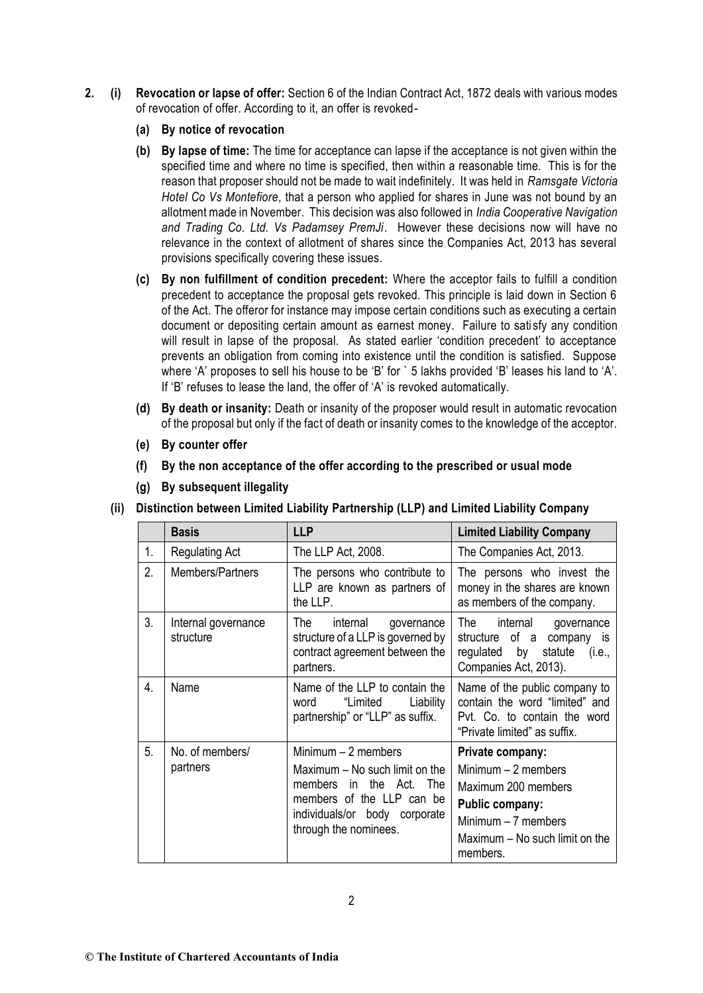- **2. (i) Revocation or lapse of offer:** Section 6 of the Indian Contract Act, 1872 deals with various modes of revocation of offer. According to it, an offer is revoked-
	- **(a) By notice of revocation**
	- **(b) By lapse of time:** The time for acceptance can lapse if the acceptance is not given within the specified time and where no time is specified, then within a reasonable time. This is for the reason that proposer should not be made to wait indefinitely. It was held in *Ramsgate Victoria Hotel Co Vs Montefiore*, that a person who applied for shares in June was not bound by an allotment made in November. This decision was also followed in *India Cooperative Navigation and Trading Co. Ltd. Vs Padamsey PremJi*. However these decisions now will have no relevance in the context of allotment of shares since the Companies Act, 2013 has several provisions specifically covering these issues.
	- **(c) By non fulfillment of condition precedent:** Where the acceptor fails to fulfill a condition precedent to acceptance the proposal gets revoked. This principle is laid down in Section 6 of the Act. The offeror for instance may impose certain conditions such as executing a certain document or depositing certain amount as earnest money. Failure to satisfy any condition will result in lapse of the proposal. As stated earlier 'condition precedent' to acceptance prevents an obligation from coming into existence until the condition is satisfied. Suppose where 'A' proposes to sell his house to be 'B' for ` 5 lakhs provided 'B' leases his land to 'A'. If 'B' refuses to lease the land, the offer of 'A' is revoked automatically.
	- **(d) By death or insanity:** Death or insanity of the proposer would result in automatic revocation of the proposal but only if the fact of death or insanity comes to the knowledge of the acceptor.
	- **(e) By counter offer**
	- **(f) By the non acceptance of the offer according to the prescribed or usual mode**
	- **(g) By subsequent illegality**
	- **(ii) Distinction between Limited Liability Partnership (LLP) and Limited Liability Company**

|    | <b>Basis</b>                     | <b>LLP</b>                                                                                                                                                                     | <b>Limited Liability Company</b>                                                                                                                         |
|----|----------------------------------|--------------------------------------------------------------------------------------------------------------------------------------------------------------------------------|----------------------------------------------------------------------------------------------------------------------------------------------------------|
| 1. | <b>Regulating Act</b>            | The LLP Act, 2008.                                                                                                                                                             | The Companies Act, 2013.                                                                                                                                 |
| 2. | Members/Partners                 | The persons who contribute to<br>LLP are known as partners of<br>the LLP.                                                                                                      | The persons who invest the<br>money in the shares are known<br>as members of the company.                                                                |
| 3. | Internal governance<br>structure | The<br>internal<br>governance<br>structure of a LLP is governed by<br>contract agreement between the<br>partners.                                                              | The<br>internal<br>governance<br>structure of a company is<br>regulated by statute<br>(i.e.,<br>Companies Act, 2013).                                    |
| 4. | Name                             | Name of the LLP to contain the<br>"Limited<br>Liability<br>word<br>partnership" or "LLP" as suffix.                                                                            | Name of the public company to<br>contain the word "limited" and<br>Pvt. Co. to contain the word<br>"Private limited" as suffix.                          |
| 5. | No. of members/<br>partners      | Minimum $-2$ members<br>Maximum - No such limit on the<br>members<br>the Act. The<br>in<br>members of the LLP can be<br>individuals/or body corporate<br>through the nominees. | Private company:<br>Minimum $-2$ members<br>Maximum 200 members<br>Public company:<br>Minimum $-7$ members<br>Maximum – No such limit on the<br>members. |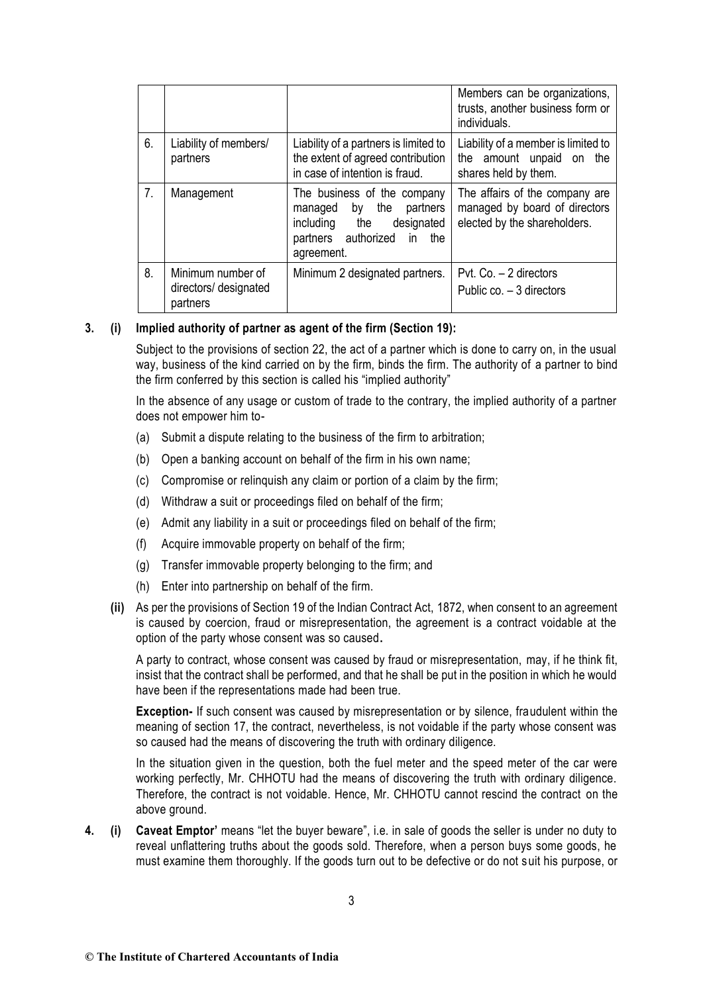|                |                                                        |                                                                                                                                         | Members can be organizations,<br>trusts, another business form or<br>individuals.               |
|----------------|--------------------------------------------------------|-----------------------------------------------------------------------------------------------------------------------------------------|-------------------------------------------------------------------------------------------------|
| 6.             | Liability of members/<br>partners                      | Liability of a partners is limited to<br>the extent of agreed contribution<br>in case of intention is fraud.                            | Liability of a member is limited to<br>the amount unpaid on the<br>shares held by them.         |
| 7 <sub>1</sub> | Management                                             | The business of the company<br>managed by the<br>partners<br>including the<br>designated<br>partners authorized in<br>the<br>agreement. | The affairs of the company are<br>managed by board of directors<br>elected by the shareholders. |
| 8.             | Minimum number of<br>directors/ designated<br>partners | Minimum 2 designated partners.                                                                                                          | Pvt. Co. - 2 directors<br>Public $co. - 3$ directors                                            |

## **3. (i) Implied authority of partner as agent of the firm (Section 19):**

Subject to the provisions of section 22, the act of a partner which is done to carry on, in the usual way, business of the kind carried on by the firm, binds the firm. The authority of a partner to bind the firm conferred by this section is called his "implied authority"

In the absence of any usage or custom of trade to the contrary, the implied authority of a partner does not empower him to-

- (a) Submit a dispute relating to the business of the firm to arbitration;
- (b) Open a banking account on behalf of the firm in his own name;
- (c) Compromise or relinquish any claim or portion of a claim by the firm;
- (d) Withdraw a suit or proceedings filed on behalf of the firm;
- (e) Admit any liability in a suit or proceedings filed on behalf of the firm;
- (f) Acquire immovable property on behalf of the firm;
- (g) Transfer immovable property belonging to the firm; and
- (h) Enter into partnership on behalf of the firm.
- **(ii)** As per the provisions of Section 19 of the Indian Contract Act, 1872, when consent to an agreement is caused by coercion, fraud or misrepresentation, the agreement is a contract voidable at the option of the party whose consent was so caused**.**

A party to contract, whose consent was caused by fraud or misrepresentation, may, if he think fit, insist that the contract shall be performed, and that he shall be put in the position in which he would have been if the representations made had been true.

**Exception-** If such consent was caused by misrepresentation or by silence, fraudulent within the meaning of section 17, the contract, nevertheless, is not voidable if the party whose consent was so caused had the means of discovering the truth with ordinary diligence.

In the situation given in the question, both the fuel meter and the speed meter of the car were working perfectly, Mr. CHHOTU had the means of discovering the truth with ordinary diligence. Therefore, the contract is not voidable. Hence, Mr. CHHOTU cannot rescind the contract on the above ground.

**4. (i) Caveat Emptor'** means "let the buyer beware", i.e. in sale of goods the seller is under no duty to reveal unflattering truths about the goods sold. Therefore, when a person buys some goods, he must examine them thoroughly. If the goods turn out to be defective or do not suit his purpose, or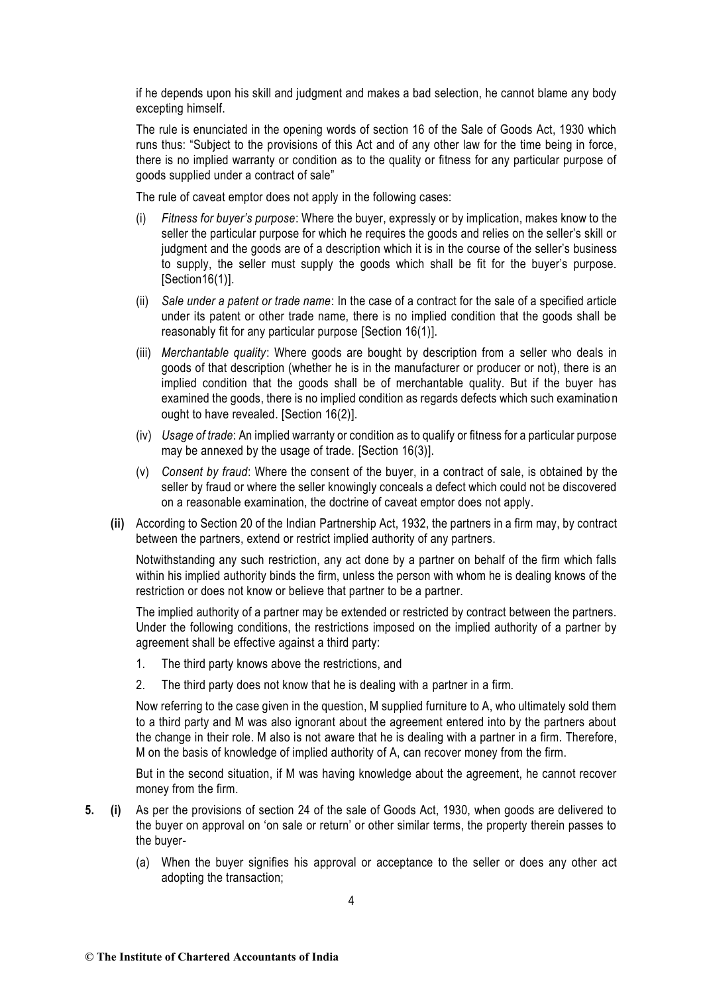if he depends upon his skill and judgment and makes a bad selection, he cannot blame any body excepting himself.

The rule is enunciated in the opening words of section 16 of the Sale of Goods Act, 1930 which runs thus: "Subject to the provisions of this Act and of any other law for the time being in force, there is no implied warranty or condition as to the quality or fitness for any particular purpose of goods supplied under a contract of sale"

The rule of caveat emptor does not apply in the following cases:

- (i) *Fitness for buyer's purpose*: Where the buyer, expressly or by implication, makes know to the seller the particular purpose for which he requires the goods and relies on the seller's skill or judgment and the goods are of a description which it is in the course of the seller's business to supply, the seller must supply the goods which shall be fit for the buyer's purpose. [Section16(1)].
- (ii) *Sale under a patent or trade name*: In the case of a contract for the sale of a specified article under its patent or other trade name, there is no implied condition that the goods shall be reasonably fit for any particular purpose [Section 16(1)].
- (iii) *Merchantable quality*: Where goods are bought by description from a seller who deals in goods of that description (whether he is in the manufacturer or producer or not), there is an implied condition that the goods shall be of merchantable quality. But if the buyer has examined the goods, there is no implied condition as regards defects which such examination ought to have revealed. [Section 16(2)].
- (iv) *Usage of trade*: An implied warranty or condition as to qualify or fitness for a particular purpose may be annexed by the usage of trade. [Section 16(3)].
- (v) *Consent by fraud*: Where the consent of the buyer, in a contract of sale, is obtained by the seller by fraud or where the seller knowingly conceals a defect which could not be discovered on a reasonable examination, the doctrine of caveat emptor does not apply.
- **(ii)** According to Section 20 of the Indian Partnership Act, 1932, the partners in a firm may, by contract between the partners, extend or restrict implied authority of any partners.

Notwithstanding any such restriction, any act done by a partner on behalf of the firm which falls within his implied authority binds the firm, unless the person with whom he is dealing knows of the restriction or does not know or believe that partner to be a partner.

The implied authority of a partner may be extended or restricted by contract between the partners. Under the following conditions, the restrictions imposed on the implied authority of a partner by agreement shall be effective against a third party:

- 1. The third party knows above the restrictions, and
- 2. The third party does not know that he is dealing with a partner in a firm.

Now referring to the case given in the question, M supplied furniture to A, who ultimately sold them to a third party and M was also ignorant about the agreement entered into by the partners about the change in their role. M also is not aware that he is dealing with a partner in a firm. Therefore, M on the basis of knowledge of implied authority of A, can recover money from the firm.

But in the second situation, if M was having knowledge about the agreement, he cannot recover money from the firm.

- **5. (i)** As per the provisions of section 24 of the sale of Goods Act, 1930, when goods are delivered to the buyer on approval on 'on sale or return' or other similar terms, the property therein passes to the buyer-
	- (a) When the buyer signifies his approval or acceptance to the seller or does any other act adopting the transaction;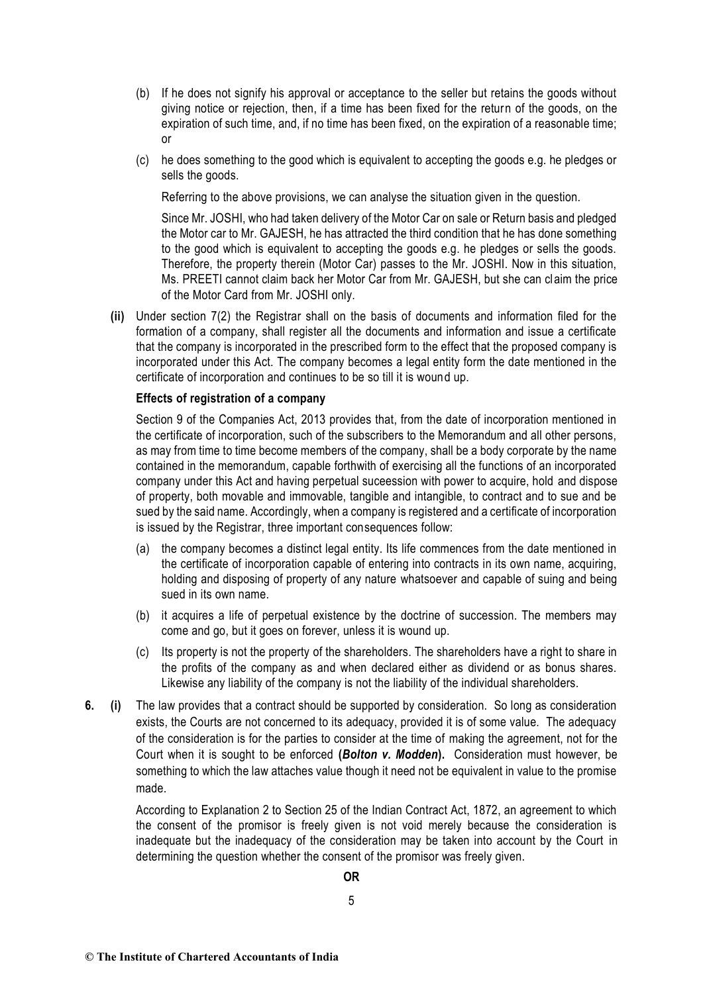- (b) If he does not signify his approval or acceptance to the seller but retains the goods without giving notice or rejection, then, if a time has been fixed for the return of the goods, on the expiration of such time, and, if no time has been fixed, on the expiration of a reasonable time; or
- (c) he does something to the good which is equivalent to accepting the goods e.g. he pledges or sells the goods.

Referring to the above provisions, we can analyse the situation given in the question.

Since Mr. JOSHI, who had taken delivery of the Motor Car on sale or Return basis and pledged the Motor car to Mr. GAJESH, he has attracted the third condition that he has done something to the good which is equivalent to accepting the goods e.g. he pledges or sells the goods. Therefore, the property therein (Motor Car) passes to the Mr. JOSHI. Now in this situation, Ms. PREETI cannot claim back her Motor Car from Mr. GAJESH, but she can claim the price of the Motor Card from Mr. JOSHI only.

**(ii)** Under section 7(2) the Registrar shall on the basis of documents and information filed for the formation of a company, shall register all the documents and information and issue a certificate that the company is incorporated in the prescribed form to the effect that the proposed company is incorporated under this Act. The company becomes a legal entity form the date mentioned in the certificate of incorporation and continues to be so till it is wound up.

## **Effects of registration of a company**

Section 9 of the Companies Act, 2013 provides that, from the date of incorporation mentioned in the certificate of incorporation, such of the subscribers to the Memorandum and all other persons, as may from time to time become members of the company, shall be a body corporate by the name contained in the memorandum, capable forthwith of exercising all the functions of an incorporated company under this Act and having perpetual suceession with power to acquire, hold and dispose of property, both movable and immovable, tangible and intangible, to contract and to sue and be sued by the said name. Accordingly, when a company is registered and a certificate of incorporation is issued by the Registrar, three important consequences follow:

- (a) the company becomes a distinct legal entity. Its life commences from the date mentioned in the certificate of incorporation capable of entering into contracts in its own name, acquiring, holding and disposing of property of any nature whatsoever and capable of suing and being sued in its own name.
- (b) it acquires a life of perpetual existence by the doctrine of succession. The members may come and go, but it goes on forever, unless it is wound up.
- (c) Its property is not the property of the shareholders. The shareholders have a right to share in the profits of the company as and when declared either as dividend or as bonus shares. Likewise any liability of the company is not the liability of the individual shareholders.
- **6. (i)** The law provides that a contract should be supported by consideration. So long as consideration exists, the Courts are not concerned to its adequacy, provided it is of some value. The adequacy of the consideration is for the parties to consider at the time of making the agreement, not for the Court when it is sought to be enforced **(***Bolton v. Modden***).** Consideration must however, be something to which the law attaches value though it need not be equivalent in value to the promise made.

According to Explanation 2 to Section 25 of the Indian Contract Act, 1872, an agreement to which the consent of the promisor is freely given is not void merely because the consideration is inadequate but the inadequacy of the consideration may be taken into account by the Court in determining the question whether the consent of the promisor was freely given.

> 5 **OR**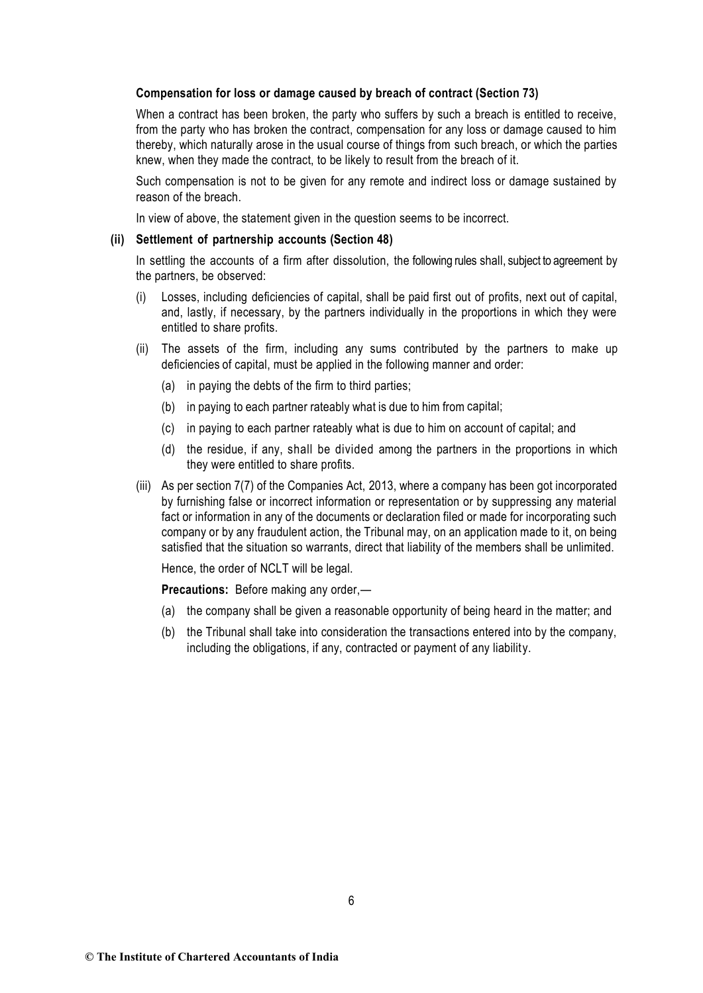#### **Compensation for loss or damage caused by breach of contract (Section 73)**

When a contract has been broken, the party who suffers by such a breach is entitled to receive. from the party who has broken the contract, compensation for any loss or damage caused to him thereby, which naturally arose in the usual course of things from such breach, or which the parties knew, when they made the contract, to be likely to result from the breach of it.

Such compensation is not to be given for any remote and indirect loss or damage sustained by reason of the breach.

In view of above, the statement given in the question seems to be incorrect.

## **(ii) Settlement of partnership accounts (Section 48)**

In settling the accounts of a firm after dissolution, the following rules shall, subject to agreement by the partners, be observed:

- (i) Losses, including deficiencies of capital, shall be paid first out of profits, next out of capital, and, lastly, if necessary, by the partners individually in the proportions in which they were entitled to share profits.
- (ii) The assets of the firm, including any sums contributed by the partners to make up deficiencies of capital, must be applied in the following manner and order:
	- (a) in paying the debts of the firm to third parties;
	- (b) in paying to each partner rateably what is due to him from capital;
	- (c) in paying to each partner rateably what is due to him on account of capital; and
	- (d) the residue, if any, shall be divided among the partners in the proportions in which they were entitled to share profits.
- (iii) As per section 7(7) of the Companies Act, 2013, where a company has been got incorporated by furnishing false or incorrect information or representation or by suppressing any material fact or information in any of the documents or declaration filed or made for incorporating such company or by any fraudulent action, the Tribunal may, on an application made to it, on being satisfied that the situation so warrants, direct that liability of the members shall be unlimited.

Hence, the order of NCLT will be legal.

**Precautions:** Before making any order,—

- (a) the company shall be given a reasonable opportunity of being heard in the matter; and
- (b) the Tribunal shall take into consideration the transactions entered into by the company, including the obligations, if any, contracted or payment of any liability.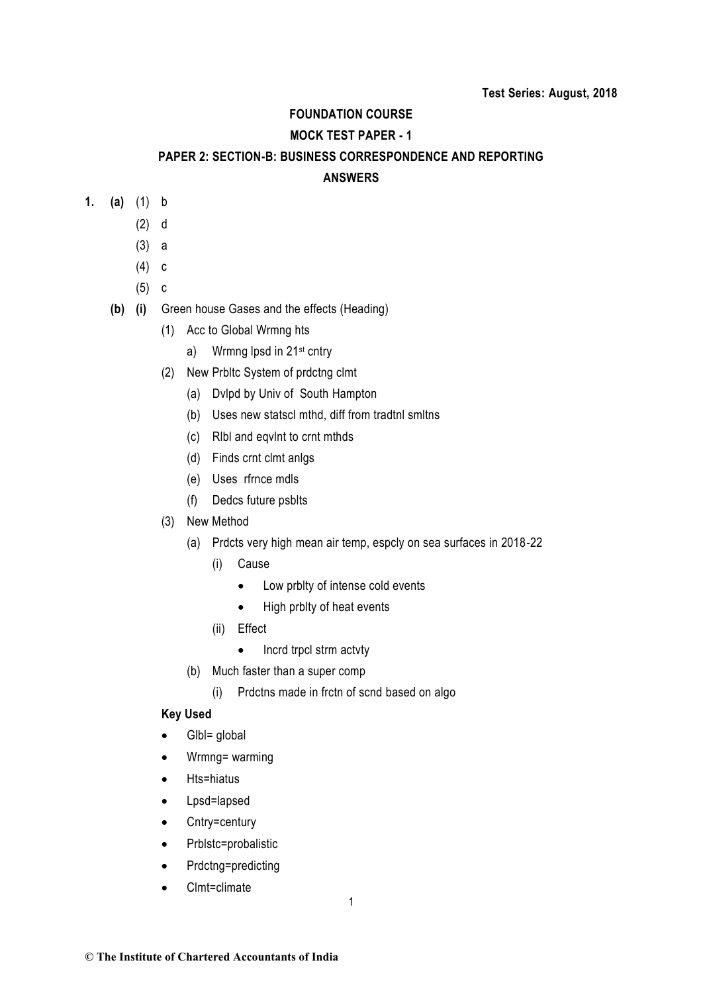# **FOUNDATION COURSE**

# **MOCK TEST PAPER - 1**

# **PAPER 2: SECTION-B: BUSINESS CORRESPONDENCE AND REPORTING**

# **ANSWERS**

- **1. (a)** (1) b
	- (2) d
	- (3) a
	- (4) c
	- (5) c
	- **(b) (i)** Green house Gases and the effects (Heading)
		- (1) Acc to Global Wrmng hts
			- a) Wrmng lpsd in 21<sup>st</sup> cntry
		- (2) New Prbltc System of prdctng clmt
			- (a) Dvlpd by Univ of South Hampton
			- (b) Uses new statscl mthd, diff from tradtnl smltns
			- (c) Rlbl and eqvlnt to crnt mthds
			- (d) Finds crnt clmt anlgs
			- (e) Uses rfrnce mdls
			- (f) Dedcs future psblts
		- (3) New Method
			- (a) Prdcts very high mean air temp, espcly on sea surfaces in 2018-22
				- (i) Cause
					- Low prblty of intense cold events
					- High prblty of heat events
				- (ii) Effect
					- Incrd trpcl strm actvty
			- (b) Much faster than a super comp
				- (i) Prdctns made in frctn of scnd based on algo

## **Key Used**

- Glbl= global
- Wrmng= warming
- Hts=hiatus
- Lpsd=lapsed
- Cntry=century
- Prblstc=probalistic
- Prdctng=predicting
- Clmt=climate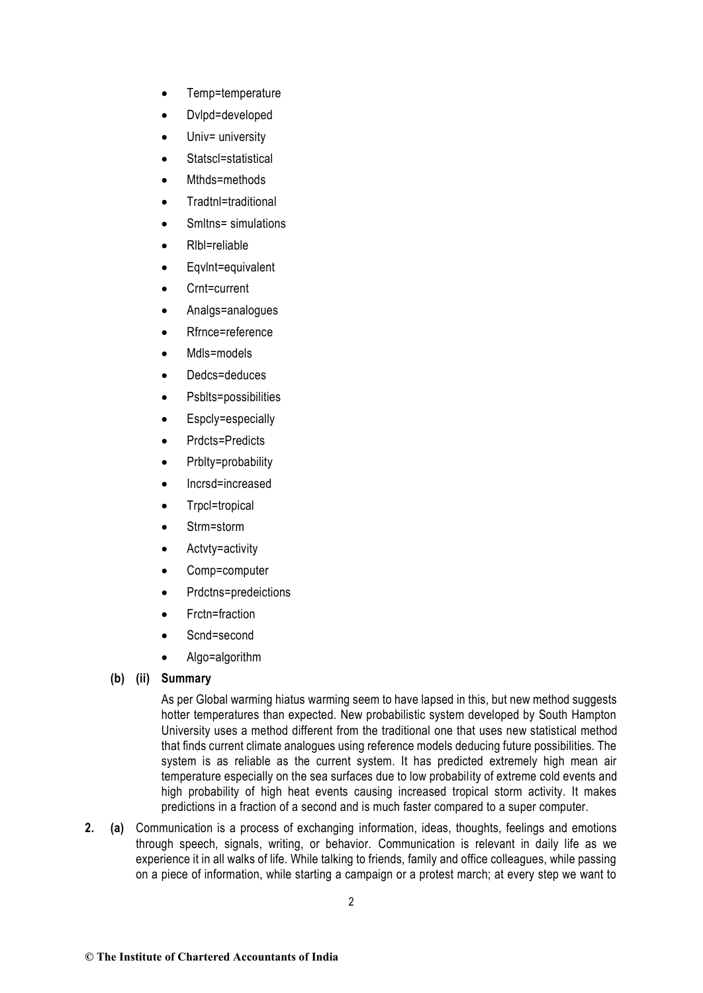- Temp=temperature
- Dvlpd=developed
- Univ= university
- Statscl=statistical
- Mthds=methods
- Tradtnl=traditional
- Smltns= simulations
- Rlbl=reliable
- Eqvlnt=equivalent
- Crnt=current
- Analgs=analogues
- Rfrnce=reference
- Mdls=models
- Dedcs=deduces
- Psblts=possibilities
- Espcly=especially
- Prdcts=Predicts
- Prblty=probability
- Incrsd=increased
- Trpcl=tropical
- Strm=storm
- Actvty=activity
- Comp=computer
- Prdctns=predeictions
- Frctn=fraction
- Scnd=second
- Algo=algorithm

## **(b) (ii) Summary**

As per Global warming hiatus warming seem to have lapsed in this, but new method suggests hotter temperatures than expected. New probabilistic system developed by South Hampton University uses a method different from the traditional one that uses new statistical method that finds current climate analogues using reference models deducing future possibilities. The system is as reliable as the current system. It has predicted extremely high mean air temperature especially on the sea surfaces due to low probability of extreme cold events and high probability of high heat events causing increased tropical storm activity. It makes predictions in a fraction of a second and is much faster compared to a super computer.

**2. (a)** Communication is a process of exchanging information, ideas, thoughts, feelings and emotions through speech, signals, writing, or behavior. Communication is relevant in daily life as we experience it in all walks of life. While talking to friends, family and office colleagues, while passing on a piece of information, while starting a campaign or a protest march; at every step we want to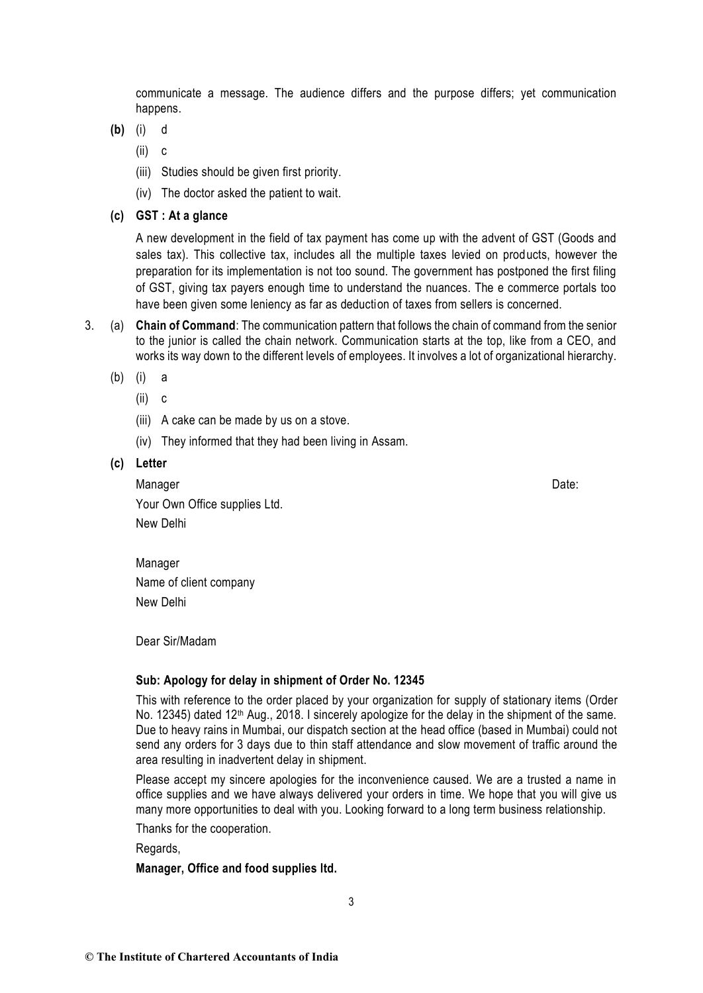communicate a message. The audience differs and the purpose differs; yet communication happens.

- **(b)** (i) d
	- (ii) c
	- (iii) Studies should be given first priority.
	- (iv) The doctor asked the patient to wait.
- **(c) GST : At a glance**

A new development in the field of tax payment has come up with the advent of GST (Goods and sales tax). This collective tax, includes all the multiple taxes levied on products, however the preparation for its implementation is not too sound. The government has postponed the first filing of GST, giving tax payers enough time to understand the nuances. The e commerce portals too have been given some leniency as far as deduction of taxes from sellers is concerned.

- 3. (a) **Chain of Command**: The communication pattern that follows the chain of command from the senior to the junior is called the chain network. Communication starts at the top, like from a CEO, and works its way down to the different levels of employees. It involves a lot of organizational hierarchy.
	- (b) (i) a
		- (ii) c
		- (iii) A cake can be made by us on a stove.
		- (iv) They informed that they had been living in Assam.
	- **(c) Letter**

Manager **Date:** Date: 2008 **Date: 2008** Your Own Office supplies Ltd. New Delhi

Manager Name of client company New Delhi

Dear Sir/Madam

#### **Sub: Apology for delay in shipment of Order No. 12345**

This with reference to the order placed by your organization for supply of stationary items (Order No. 12345) dated 12<sup>th</sup> Aug., 2018. I sincerely apologize for the delay in the shipment of the same. Due to heavy rains in Mumbai, our dispatch section at the head office (based in Mumbai) could not send any orders for 3 days due to thin staff attendance and slow movement of traffic around the area resulting in inadvertent delay in shipment.

Please accept my sincere apologies for the inconvenience caused. We are a trusted a name in office supplies and we have always delivered your orders in time. We hope that you will give us many more opportunities to deal with you. Looking forward to a long term business relationship.

Thanks for the cooperation.

Regards,

**Manager, Office and food supplies ltd.**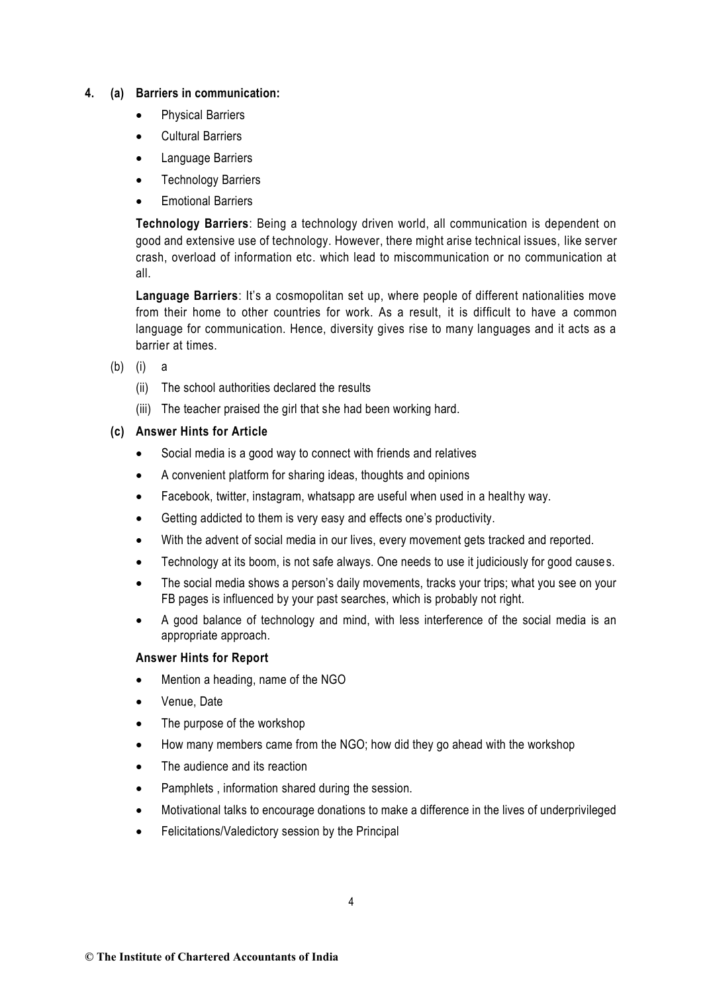## **4. (a) Barriers in communication:**

- Physical Barriers
- Cultural Barriers
- **Language Barriers**
- **Technology Barriers**
- **Emotional Barriers**

**Technology Barriers**: Being a technology driven world, all communication is dependent on good and extensive use of technology. However, there might arise technical issues, like server crash, overload of information etc. which lead to miscommunication or no communication at all.

**Language Barriers**: It's a cosmopolitan set up, where people of different nationalities move from their home to other countries for work. As a result, it is difficult to have a common language for communication. Hence, diversity gives rise to many languages and it acts as a barrier at times.

- (b) (i) a
	- (ii) The school authorities declared the results
	- (iii) The teacher praised the girl that she had been working hard.

# **(c) Answer Hints for Article**

- Social media is a good way to connect with friends and relatives
- A convenient platform for sharing ideas, thoughts and opinions
- Facebook, twitter, instagram, whatsapp are useful when used in a healthy way.
- Getting addicted to them is very easy and effects one's productivity.
- With the advent of social media in our lives, every movement gets tracked and reported.
- Technology at its boom, is not safe always. One needs to use it judiciously for good cause s.
- The social media shows a person's daily movements, tracks your trips; what you see on your FB pages is influenced by your past searches, which is probably not right.
- A good balance of technology and mind, with less interference of the social media is an appropriate approach.

# **Answer Hints for Report**

- Mention a heading, name of the NGO
- Venue, Date
- The purpose of the workshop
- How many members came from the NGO; how did they go ahead with the workshop
- The audience and its reaction
- Pamphlets, information shared during the session.
- Motivational talks to encourage donations to make a difference in the lives of underprivileged
- Felicitations/Valedictory session by the Principal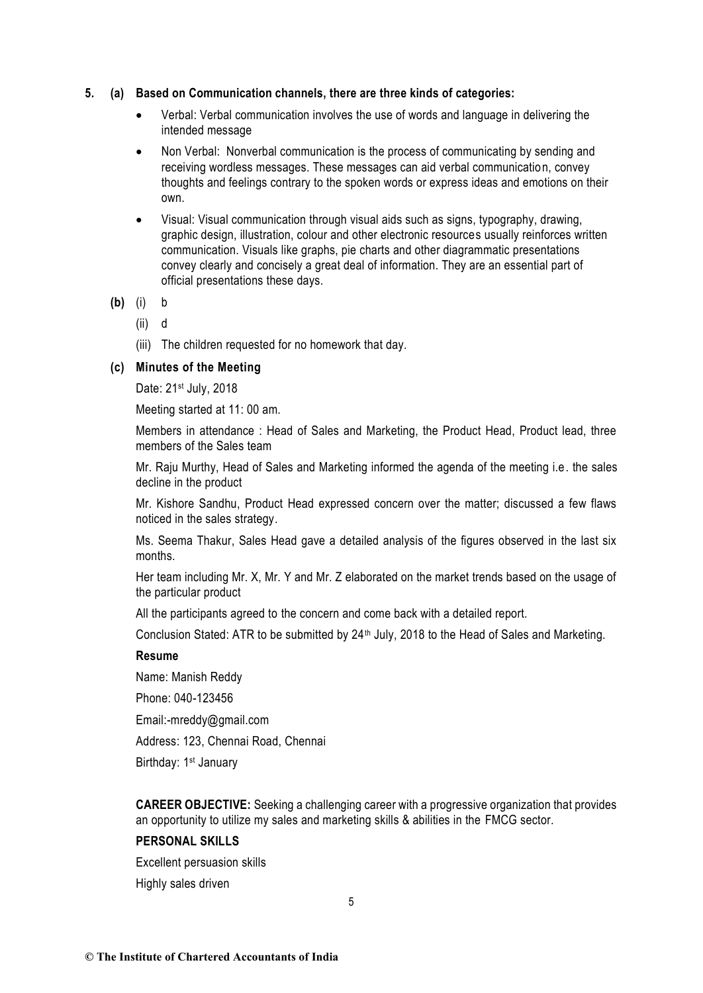### **5. (a) Based on Communication channels, there are three kinds of categories:**

- Verbal: Verbal communication involves the use of words and language in delivering the intended message
- Non Verbal: Nonverbal communication is the process of communicating by sending and receiving wordless messages. These messages can aid verbal communication, convey thoughts and feelings contrary to the spoken words or express ideas and emotions on their own.
- Visual: Visual communication through visual aids such as signs, typography, drawing, graphic design, illustration, colour and other electronic resources usually reinforces written communication. Visuals like graphs, pie charts and other diagrammatic presentations convey clearly and concisely a great deal of information. They are an essential part of official presentations these days.

**(b)** (i) b

- (ii) d
- (iii) The children requested for no homework that day.

### **(c) Minutes of the Meeting**

Date: 21st July, 2018

Meeting started at 11: 00 am.

Members in attendance : Head of Sales and Marketing, the Product Head, Product lead, three members of the Sales team

Mr. Raju Murthy, Head of Sales and Marketing informed the agenda of the meeting i.e. the sales decline in the product

Mr. Kishore Sandhu, Product Head expressed concern over the matter; discussed a few flaws noticed in the sales strategy.

Ms. Seema Thakur, Sales Head gave a detailed analysis of the figures observed in the last six months.

Her team including Mr. X, Mr. Y and Mr. Z elaborated on the market trends based on the usage of the particular product

All the participants agreed to the concern and come back with a detailed report.

Conclusion Stated: ATR to be submitted by 24<sup>th</sup> July, 2018 to the Head of Sales and Marketing.

#### **Resume**

Name: Manish Reddy Phone: 040-123456 Email:-mreddy@gmail.com Address: 123, Chennai Road, Chennai Birthday: 1<sup>st</sup> January

**CAREER OBJECTIVE:** Seeking a challenging career with a progressive organization that provides an opportunity to utilize my sales and marketing skills & abilities in the FMCG sector.

### **PERSONAL SKILLS**

Excellent persuasion skills

Highly sales driven